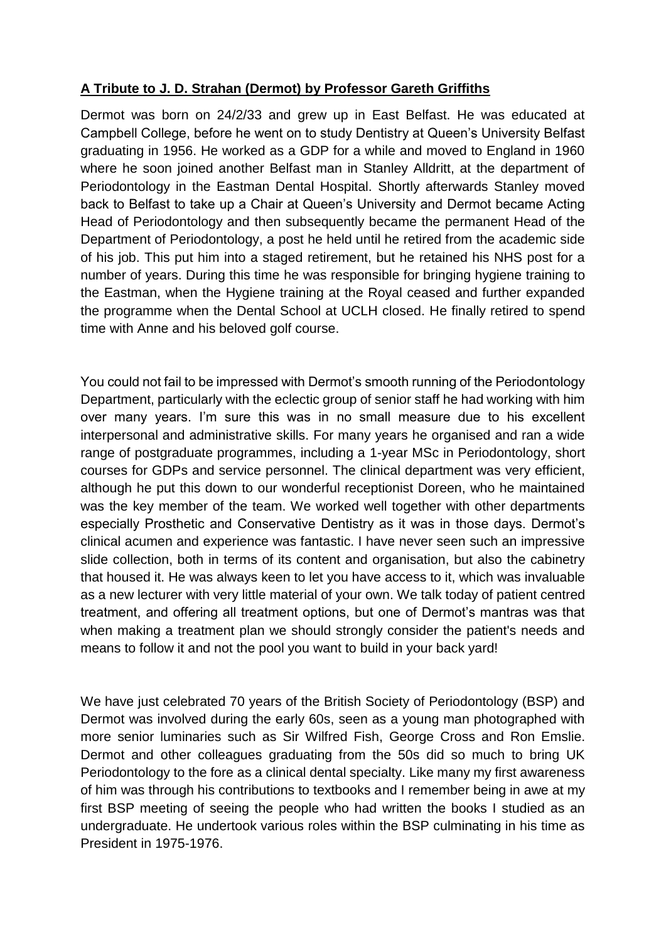## **A Tribute to J. D. Strahan (Dermot) by Professor Gareth Griffiths**

Dermot was born on 24/2/33 and grew up in East Belfast. He was educated at Campbell College, before he went on to study Dentistry at Queen's University Belfast graduating in 1956. He worked as a GDP for a while and moved to England in 1960 where he soon joined another Belfast man in Stanley Alldritt, at the department of Periodontology in the Eastman Dental Hospital. Shortly afterwards Stanley moved back to Belfast to take up a Chair at Queen's University and Dermot became Acting Head of Periodontology and then subsequently became the permanent Head of the Department of Periodontology, a post he held until he retired from the academic side of his job. This put him into a staged retirement, but he retained his NHS post for a number of years. During this time he was responsible for bringing hygiene training to the Eastman, when the Hygiene training at the Royal ceased and further expanded the programme when the Dental School at UCLH closed. He finally retired to spend time with Anne and his beloved golf course.

You could not fail to be impressed with Dermot's smooth running of the Periodontology Department, particularly with the eclectic group of senior staff he had working with him over many years. I'm sure this was in no small measure due to his excellent interpersonal and administrative skills. For many years he organised and ran a wide range of postgraduate programmes, including a 1-year MSc in Periodontology, short courses for GDPs and service personnel. The clinical department was very efficient, although he put this down to our wonderful receptionist Doreen, who he maintained was the key member of the team. We worked well together with other departments especially Prosthetic and Conservative Dentistry as it was in those days. Dermot's clinical acumen and experience was fantastic. I have never seen such an impressive slide collection, both in terms of its content and organisation, but also the cabinetry that housed it. He was always keen to let you have access to it, which was invaluable as a new lecturer with very little material of your own. We talk today of patient centred treatment, and offering all treatment options, but one of Dermot's mantras was that when making a treatment plan we should strongly consider the patient's needs and means to follow it and not the pool you want to build in your back yard!

We have just celebrated 70 years of the British Society of Periodontology (BSP) and Dermot was involved during the early 60s, seen as a young man photographed with more senior luminaries such as Sir Wilfred Fish, George Cross and Ron Emslie. Dermot and other colleagues graduating from the 50s did so much to bring UK Periodontology to the fore as a clinical dental specialty. Like many my first awareness of him was through his contributions to textbooks and I remember being in awe at my first BSP meeting of seeing the people who had written the books I studied as an undergraduate. He undertook various roles within the BSP culminating in his time as President in 1975-1976.